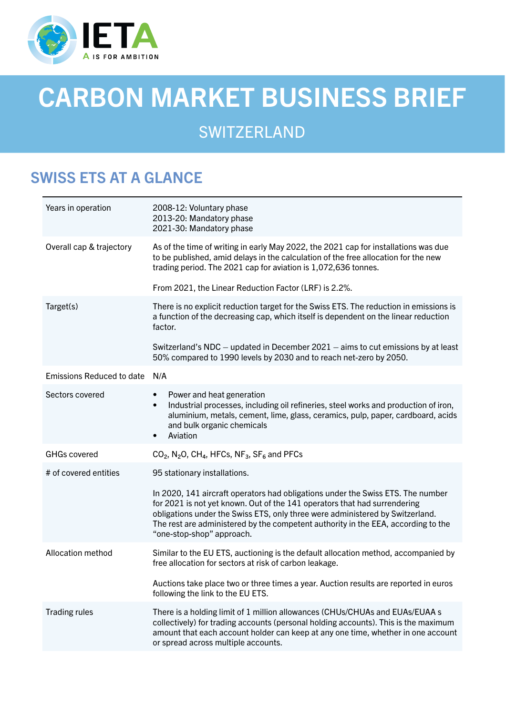

# CARBON MARKET BUSINESS BRIEF

# **SWITZERLAND**

# SWISS ETS AT A GLANCE

| Years in operation               | 2008-12: Voluntary phase<br>2013-20: Mandatory phase<br>2021-30: Mandatory phase                                                                                                                                                                                                                                                                                |
|----------------------------------|-----------------------------------------------------------------------------------------------------------------------------------------------------------------------------------------------------------------------------------------------------------------------------------------------------------------------------------------------------------------|
| Overall cap & trajectory         | As of the time of writing in early May 2022, the 2021 cap for installations was due<br>to be published, amid delays in the calculation of the free allocation for the new<br>trading period. The 2021 cap for aviation is 1,072,636 tonnes.                                                                                                                     |
|                                  | From 2021, the Linear Reduction Factor (LRF) is 2.2%.                                                                                                                                                                                                                                                                                                           |
| Target(s)                        | There is no explicit reduction target for the Swiss ETS. The reduction in emissions is<br>a function of the decreasing cap, which itself is dependent on the linear reduction<br>factor.                                                                                                                                                                        |
|                                  | Switzerland's NDC – updated in December 2021 – aims to cut emissions by at least<br>50% compared to 1990 levels by 2030 and to reach net-zero by 2050.                                                                                                                                                                                                          |
| <b>Emissions Reduced to date</b> | N/A                                                                                                                                                                                                                                                                                                                                                             |
| Sectors covered                  | Power and heat generation<br>$\bullet$<br>Industrial processes, including oil refineries, steel works and production of iron,<br>$\bullet$<br>aluminium, metals, cement, lime, glass, ceramics, pulp, paper, cardboard, acids<br>and bulk organic chemicals<br>Aviation<br>$\bullet$                                                                            |
| <b>GHGs covered</b>              | $CO2$ , N <sub>2</sub> O, CH <sub>4</sub> , HFCs, NF <sub>3</sub> , SF <sub>6</sub> and PFCs                                                                                                                                                                                                                                                                    |
| # of covered entities            | 95 stationary installations.                                                                                                                                                                                                                                                                                                                                    |
|                                  | In 2020, 141 aircraft operators had obligations under the Swiss ETS. The number<br>for 2021 is not yet known. Out of the 141 operators that had surrendering<br>obligations under the Swiss ETS, only three were administered by Switzerland.<br>The rest are administered by the competent authority in the EEA, according to the<br>"one-stop-shop" approach. |
| <b>Allocation method</b>         | Similar to the EU ETS, auctioning is the default allocation method, accompanied by<br>free allocation for sectors at risk of carbon leakage.                                                                                                                                                                                                                    |
|                                  | Auctions take place two or three times a year. Auction results are reported in euros<br>following the link to the EU ETS.                                                                                                                                                                                                                                       |
| <b>Trading rules</b>             | There is a holding limit of 1 million allowances (CHUs/CHUAs and EUAs/EUAA s<br>collectively) for trading accounts (personal holding accounts). This is the maximum<br>amount that each account holder can keep at any one time, whether in one account<br>or spread across multiple accounts.                                                                  |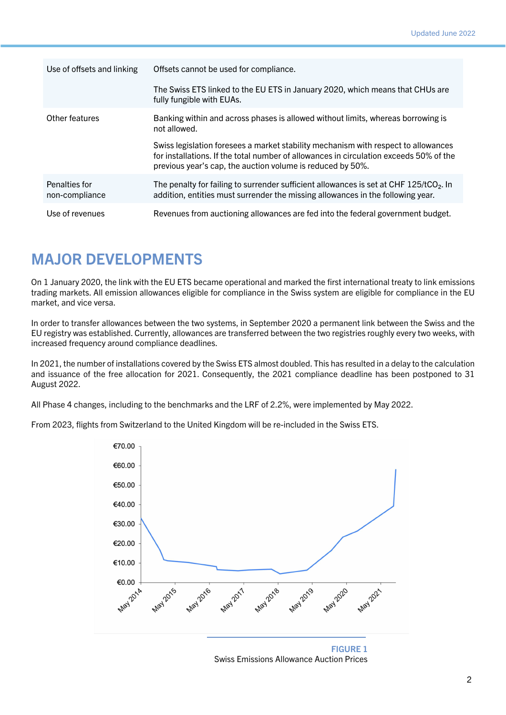| Use of offsets and linking      | Offsets cannot be used for compliance.                                                                                                                                                                                                     |
|---------------------------------|--------------------------------------------------------------------------------------------------------------------------------------------------------------------------------------------------------------------------------------------|
|                                 | The Swiss ETS linked to the EU ETS in January 2020, which means that CHUs are<br>fully fungible with EUAs.                                                                                                                                 |
| Other features                  | Banking within and across phases is allowed without limits, whereas borrowing is<br>not allowed.                                                                                                                                           |
|                                 | Swiss legislation foresees a market stability mechanism with respect to allowances<br>for installations. If the total number of allowances in circulation exceeds 50% of the<br>previous year's cap, the auction volume is reduced by 50%. |
| Penalties for<br>non-compliance | The penalty for failing to surrender sufficient allowances is set at CHF 125/tCO <sub>2</sub> . In<br>addition, entities must surrender the missing allowances in the following year.                                                      |
| Use of revenues                 | Revenues from auctioning allowances are fed into the federal government budget.                                                                                                                                                            |

#### MAJOR DEVELOPMENTS

On 1 January 2020, the link with the EU ETS became operational and marked the first international treaty to link emissions trading markets. All emission allowances eligible for compliance in the Swiss system are eligible for compliance in the EU market, and vice versa.

In order to transfer allowances between the two systems, in September 2020 a permanent link between the Swiss and the EU registry was established. Currently, allowances are transferred between the two registries roughly every two weeks, with increased frequency around compliance deadlines.

In 2021, the number of installations covered by the Swiss ETS almost doubled. This has resulted in a delay to the calculation and issuance of the free allocation for 2021. Consequently, the 2021 compliance deadline has been postponed to 31 August 2022.

All Phase 4 changes, including to the benchmarks and the LRF of 2.2%, were implemented by May 2022.

From 2023, flights from Switzerland to the United Kingdom will be re-included in the Swiss ETS.



FIGURE 1 Swiss Emissions Allowance Auction Prices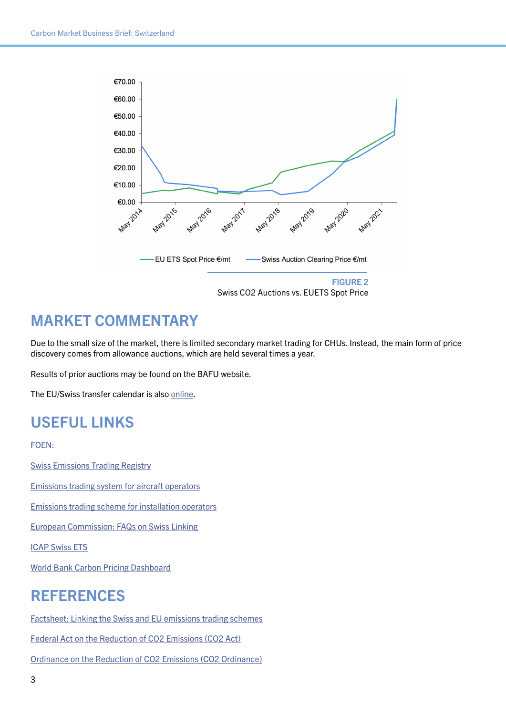

## MARKET COMMENTARY

Due to the small size of the market, there is limited secondary market trading for CHUs. Instead, the main form of price discovery comes from allowance auctions, which are held several times a year.

Results of prior auctions may be found on the BAFU website.

The EU/Swiss transfer calendar is also [online](https://www.emissionsregistry.admin.ch/crweb/public/welcome.action?).

### USEFUL LINKS

FOEN:

[Swiss Emissions Trading Registry](https://www.emissionsregistry.admin.ch/crweb/public/welcome.action?token=N40MZ1MSOO53UQVYF089VLZ6LQ77JOSZ)

[Emissions trading system for aircraft operators](https://www.bafu.admin.ch/bafu/en/home/topics/climate/info-specialists/reduction-measures/ets/aviation.html)

[Emissions trading scheme for installation operators](https://www.bafu.admin.ch/bafu/en/home/topics/climate/info-specialists/reduction-measures/ets/installations.html)

[European Commission: FAQs on Swiss Linking](https://ec.europa.eu/clima/system/files/2019-12/faq_linking_agreement_part2_en.pdf)

[ICAP Swiss ETS](https://icapcarbonaction.com/en/ets/swiss-ets)

[World Bank Carbon Pricing Dashboard](https://carbonpricingdashboard.worldbank.org/map_data)

#### REFERENCES

[Factsheet: Linking the Swiss and EU emissions trading schemes](https://www.bafu.admin.ch/dam/bafu/en/dokumente/klima/fachinfo-daten/faktenblatt-verknuepfung-der-emissionshandelssysteme-der-schweiz-und-der-eu.pdf.download.pdf/e Faktenblatt Emissionshandel.pdf)

[Federal Act on the Reduction of CO2 Emissions \(CO2 Act\)](https://www.fedlex.admin.ch/eli/cc/2012/855/en)

[Ordinance on the Reduction of CO2 Emissions \(CO2 Ordinance\)](https://fedlex.data.admin.ch/filestore/fedlex.data.admin.ch/eli/cc/2012/856/20201101/en/pdf-a/fedlex-data-admin-ch-eli-cc-2012-856-20201101-en-pdf-a.pdf)